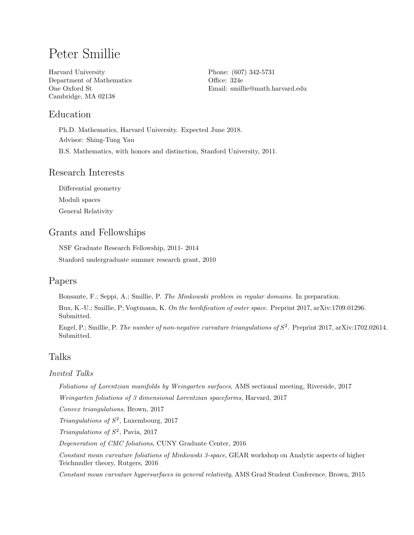# Peter Smillie

Harvard University Department of Mathematics One Oxford St Cambridge, MA 02138

Phone: (607) 342-5731 Office: 324e Email: [smillie@math.harvard.edu](mailto:smillie@math.harvard.edu)

# Education

Ph.D. Mathematics, Harvard University. Expected June 2018. Advisor: Shing-Tung Yau B.S. Mathematics, with honors and distinction, Stanford University, 2011.

#### Research Interests

Differential geometry Moduli spaces General Relativity

### Grants and Fellowships

NSF Graduate Research Fellowship, 2011- 2014 Stanford undergraduate summer research grant, 2010

### Papers

Bonsante, F.; Seppi, A.; Smillie, P. The Minkowski problem in regular domains. In preparation.

Bux, K.-U.; Smillie, P; Vogtmann, K. On the bordification of outer space. Preprint 2017, arXiv:1709.01296. Submitted.

Engel, P.; Smillie, P. The number of non-negative curvature triangulations of  $S^2$ . Preprint 2017, arXiv:1702.02614. Submitted.

# Talks

#### Invited Talks

Foliations of Lorentzian manifolds by Weingarten surfaces, AMS sectional meeting, Riverside, 2017

Weingarten foliations of 3 dimensional Lorentzian spaceforms, Harvard, 2017

Convex triangulations, Brown, 2017

Triangulations of  $S^2$ , Luxembourg, 2017

Triangulations of  $S^2$ , Pavia, 2017

Degeneration of CMC foliations, CUNY Graduate Center, 2016

Constant mean curvature foliations of Minkowski 3-space, GEAR workshop on Analytic aspects of higher Teichmuller theory, Rutgers, 2016

Constant mean curvature hypersurfaces in general relativity, AMS Grad Student Conference, Brown, 2015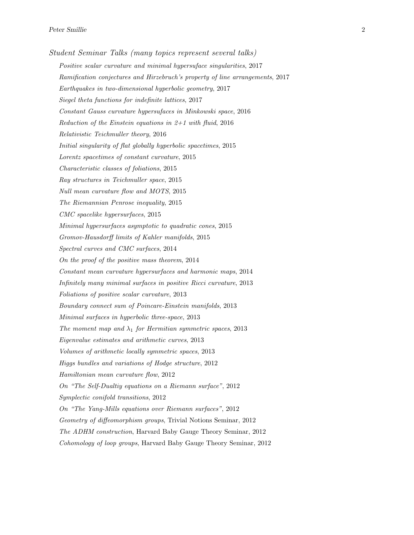Student Seminar Talks (many topics represent several talks) Positive scalar curvature and minimal hypersuface singularities, 2017 Ramification conjectures and Hirzebruch's property of line arrangements, 2017 Earthquakes in two-dimensional hyperbolic geometry, 2017 Siegel theta functions for indefinite lattices, 2017 Constant Gauss curvature hypersufaces in Minkowski space, 2016 Reduction of the Einstein equations in  $2+1$  with fluid, 2016 Relativistic Teichmuller theory, 2016 Initial singularity of flat globally hyperbolic spacetimes, 2015 Lorentz spacetimes of constant curvature, 2015 Characteristic classes of foliations, 2015 Ray structures in Teichmuller space, 2015 Null mean curvature flow and MOTS, 2015 The Riemannian Penrose inequality, 2015 CMC spacelike hypersurfaces, 2015 Minimal hypersurfaces asymptotic to quadratic cones, 2015 Gromov-Hausdorff limits of Kahler manifolds, 2015 Spectral curves and CMC surfaces, 2014 On the proof of the positive mass theorem, 2014 Constant mean curvature hypersurfaces and harmonic maps, 2014 Infinitely many minimal surfaces in positive Ricci curvature, 2013 Foliations of positive scalar curvature, 2013 Boundary connect sum of Poincare-Einstein manifolds, 2013 Minimal surfaces in hyperbolic three-space, 2013 The moment map and  $\lambda_1$  for Hermitian symmetric spaces, 2013 Eigenvalue estimates and arithmetic curves, 2013 Volumes of arithmetic locally symmetric spaces, 2013 Higgs bundles and variations of Hodge structure, 2012 Hamiltonian mean curvature flow, 2012 On "The Self-Dualtiy equations on a Riemann surface", 2012 Symplectic conifold transitions, 2012 On "The Yang-Mills equations over Riemann surfaces", 2012 Geometry of diffeomorphism groups, Trivial Notions Seminar, 2012 The ADHM construction, Harvard Baby Gauge Theory Seminar, 2012 Cohomology of loop groups, Harvard Baby Gauge Theory Seminar, 2012